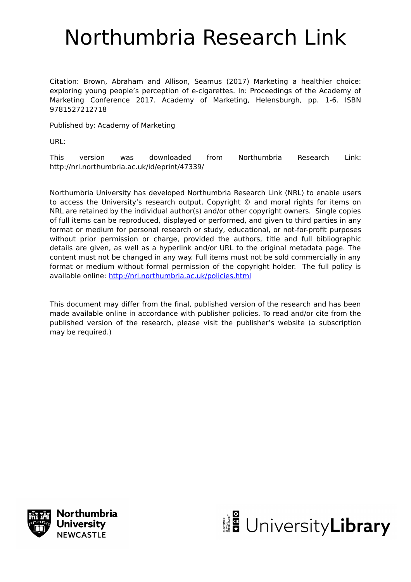# Northumbria Research Link

Citation: Brown, Abraham and Allison, Seamus (2017) Marketing a healthier choice: exploring young people's perception of e-cigarettes. In: Proceedings of the Academy of Marketing Conference 2017. Academy of Marketing, Helensburgh, pp. 1-6. ISBN 9781527212718

Published by: Academy of Marketing

URL:

This version was downloaded from Northumbria Research Link: http://nrl.northumbria.ac.uk/id/eprint/47339/

Northumbria University has developed Northumbria Research Link (NRL) to enable users to access the University's research output. Copyright © and moral rights for items on NRL are retained by the individual author(s) and/or other copyright owners. Single copies of full items can be reproduced, displayed or performed, and given to third parties in any format or medium for personal research or study, educational, or not-for-profit purposes without prior permission or charge, provided the authors, title and full bibliographic details are given, as well as a hyperlink and/or URL to the original metadata page. The content must not be changed in any way. Full items must not be sold commercially in any format or medium without formal permission of the copyright holder. The full policy is available online:<http://nrl.northumbria.ac.uk/policies.html>

This document may differ from the final, published version of the research and has been made available online in accordance with publisher policies. To read and/or cite from the published version of the research, please visit the publisher's website (a subscription may be required.)



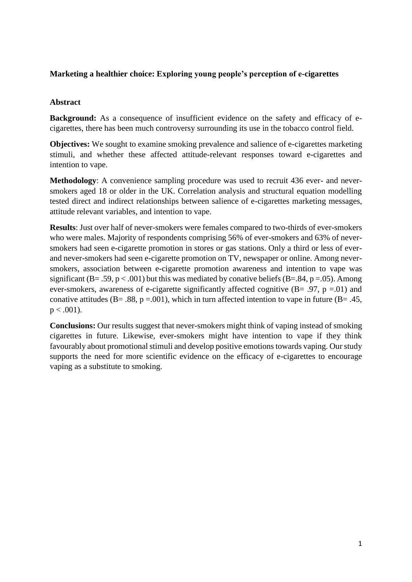# **Marketing a healthier choice: Exploring young people's perception of e-cigarettes**

# **Abstract**

**Background:** As a consequence of insufficient evidence on the safety and efficacy of ecigarettes, there has been much controversy surrounding its use in the tobacco control field.

**Objectives:** We sought to examine smoking prevalence and salience of e-cigarettes marketing stimuli, and whether these affected attitude-relevant responses toward e-cigarettes and intention to vape.

**Methodology**: A convenience sampling procedure was used to recruit 436 ever- and neversmokers aged 18 or older in the UK. Correlation analysis and structural equation modelling tested direct and indirect relationships between salience of e-cigarettes marketing messages, attitude relevant variables, and intention to vape.

**Results**: Just over half of never-smokers were females compared to two-thirds of ever-smokers who were males. Majority of respondents comprising 56% of ever-smokers and 63% of neversmokers had seen e-cigarette promotion in stores or gas stations. Only a third or less of everand never-smokers had seen e-cigarette promotion on TV, newspaper or online. Among neversmokers, association between e-cigarette promotion awareness and intention to vape was significant (B= .59,  $p < .001$ ) but this was mediated by conative beliefs (B=.84,  $p = .05$ ). Among ever-smokers, awareness of e-cigarette significantly affected cognitive  $(B = .97, p = .01)$  and conative attitudes ( $B = .88$ ,  $p = .001$ ), which in turn affected intention to vape in future ( $B = .45$ ,  $p < .001$ ).

**Conclusions:** Our results suggest that never-smokers might think of vaping instead of smoking cigarettes in future. Likewise, ever-smokers might have intention to vape if they think favourably about promotional stimuli and develop positive emotions towards vaping. Our study supports the need for more scientific evidence on the efficacy of e-cigarettes to encourage vaping as a substitute to smoking.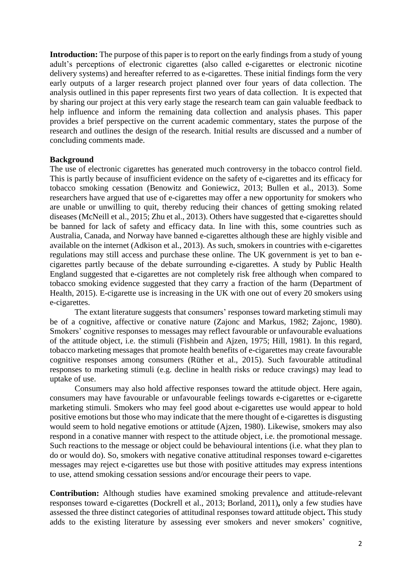**Introduction:** The purpose of this paper is to report on the early findings from a study of young adult's perceptions of electronic cigarettes (also called e-cigarettes or electronic nicotine delivery systems) and hereafter referred to as e-cigarettes. These initial findings form the very early outputs of a larger research project planned over four years of data collection. The analysis outlined in this paper represents first two years of data collection. It is expected that by sharing our project at this very early stage the research team can gain valuable feedback to help influence and inform the remaining data collection and analysis phases. This paper provides a brief perspective on the current academic commentary, states the purpose of the research and outlines the design of the research. Initial results are discussed and a number of concluding comments made.

## **Background**

The use of electronic cigarettes has generated much controversy in the tobacco control field. This is partly because of insufficient evidence on the safety of e-cigarettes and its efficacy for tobacco smoking cessation (Benowitz and Goniewicz, 2013; Bullen et al., 2013). Some researchers have argued that use of e-cigarettes may offer a new opportunity for smokers who are unable or unwilling to quit, thereby reducing their chances of getting smoking related diseases (McNeill et al., 2015; Zhu et al., 2013). Others have suggested that e-cigarettes should be banned for lack of safety and efficacy data. In line with this, some countries such as Australia, Canada, and Norway have banned e-cigarettes although these are highly visible and available on the internet (Adkison et al., 2013). As such, smokers in countries with e-cigarettes regulations may still access and purchase these online. The UK government is yet to ban ecigarettes partly because of the debate surrounding e-cigarettes. A study by Public Health England suggested that e-cigarettes are not completely risk free although when compared to tobacco smoking evidence suggested that they carry a fraction of the harm (Department of Health, 2015). E-cigarette use is increasing in the UK with one out of every 20 smokers using e-cigarettes.

The extant literature suggests that consumers' responses toward marketing stimuli may be of a cognitive, affective or conative nature (Zajonc and Markus, 1982; Zajonc, 1980). Smokers' cognitive responses to messages may reflect favourable or unfavourable evaluations of the attitude object, i.e. the stimuli (Fishbein and Ajzen, 1975; Hill, 1981). In this regard, tobacco marketing messages that promote health benefits of e-cigarettes may create favourable cognitive responses among consumers (Rüther et al., 2015). Such favourable attitudinal responses to marketing stimuli (e.g. decline in health risks or reduce cravings) may lead to uptake of use.

Consumers may also hold affective responses toward the attitude object. Here again, consumers may have favourable or unfavourable feelings towards e-cigarettes or e-cigarette marketing stimuli. Smokers who may feel good about e-cigarettes use would appear to hold positive emotions but those who may indicate that the mere thought of e-cigarettes is disgusting would seem to hold negative emotions or attitude (Ajzen, 1980). Likewise, smokers may also respond in a conative manner with respect to the attitude object, i.e. the promotional message. Such reactions to the message or object could be behavioural intentions (i.e. what they plan to do or would do). So, smokers with negative conative attitudinal responses toward e-cigarettes messages may reject e-cigarettes use but those with positive attitudes may express intentions to use, attend smoking cessation sessions and/or encourage their peers to vape.

**Contribution:** Although studies have examined smoking prevalence and attitude-relevant responses toward e-cigarettes (Dockrell et al., 2013; Borland, 2011)**,** only a few studies have assessed the three distinct categories of attitudinal responses toward attitude object**.** This study adds to the existing literature by assessing ever smokers and never smokers' cognitive,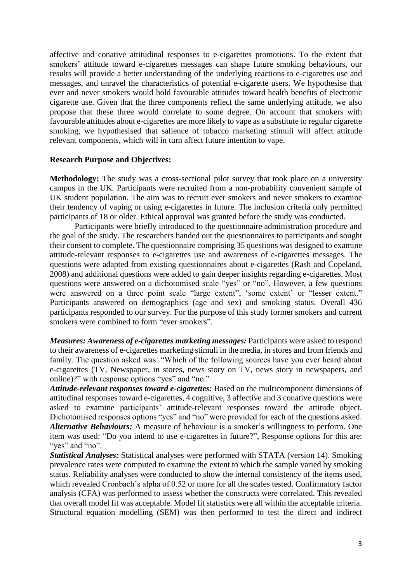affective and conative attitudinal responses to e-cigarettes promotions. To the extent that smokers' attitude toward e-cigarettes messages can shape future smoking behaviours, our results will provide a better understanding of the underlying reactions to e-cigarettes use and messages, and unravel the characteristics of potential e-cigarette users. We hypothesise that ever and never smokers would hold favourable attitudes toward health benefits of electronic cigarette use. Given that the three components reflect the same underlying attitude, we also propose that these three would correlate to some degree. On account that smokers with favourable attitudes about e-cigarettes are more likely to vape as a substitute to regular cigarette smoking, we hypothesised that salience of tobacco marketing stimuli will affect attitude relevant components, which will in turn affect future intention to vape.

#### **Research Purpose and Objectives:**

**Methodology:** The study was a cross-sectional pilot survey that took place on a university campus in the UK. Participants were recruited from a non-probability convenient sample of UK student population. The aim was to recruit ever smokers and never smokers to examine their tendency of vaping or using e-cigarettes in future. The inclusion criteria only permitted participants of 18 or older. Ethical approval was granted before the study was conducted.

Participants were briefly introduced to the questionnaire administration procedure and the goal of the study. The researchers handed out the questionnaires to participants and sought their consent to complete. The questionnaire comprising 35 questions was designed to examine attitude-relevant responses to e-cigarettes use and awareness of e-cigarettes messages. The questions were adapted from existing questionnaires about e-cigarettes (Rash and Copeland, 2008) and additional questions were added to gain deeper insights regarding e-cigarettes. Most questions were answered on a dichotomised scale "yes" or "no". However, a few questions were answered on a three point scale "large extent", 'some extent' or "lesser extent." Participants answered on demographics (age and sex) and smoking status. Overall 436 participants responded to our survey. For the purpose of this study former smokers and current smokers were combined to form "ever smokers".

*Measures: Awareness of e-cigarettes marketing messages: Participants were asked to respond* to their awareness of e-cigarettes marketing stimuli in the media, in stores and from friends and family. The question asked was: "Which of the following sources have you ever heard about e-cigarettes (TV, Newspaper, in stores, news story on TV, news story in newspapers, and online)?" with response options "yes" and "no."

*Attitude-relevant responses toward e-cigarettes:* Based on the multicomponent dimensions of attitudinal responses toward e-cigarettes, 4 cognitive, 3 affective and 3 conative questions were asked to examine participants' attitude-relevant responses toward the attitude object. Dichotomised responses options "yes" and "no" were provided for each of the questions asked. *Alternative Behaviours:* A measure of behaviour is a smoker's willingness to perform. One item was used: "Do you intend to use e-cigarettes in future?", Response options for this are: "yes" and "no".

*Statistical Analyses:* Statistical analyses were performed with STATA (version 14). Smoking prevalence rates were computed to examine the extent to which the sample varied by smoking status. Reliability analyses were conducted to show the internal consistency of the items used, which revealed Cronbach's alpha of 0.52 or more for all the scales tested. Confirmatory factor analysis (CFA) was performed to assess whether the constructs were correlated. This revealed that overall model fit was acceptable. Model fit statistics were all within the acceptable criteria. Structural equation modelling (SEM) was then performed to test the direct and indirect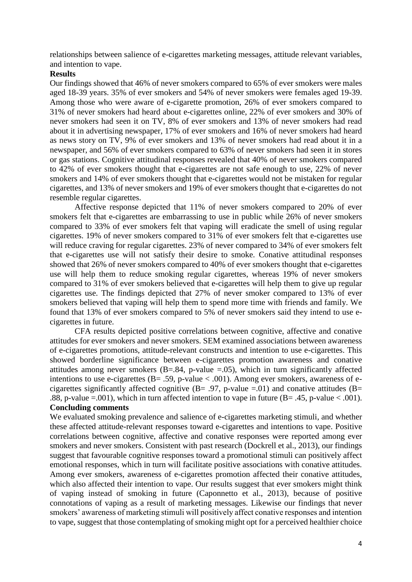relationships between salience of e-cigarettes marketing messages, attitude relevant variables, and intention to vape.

#### **Results**

Our findings showed that 46% of never smokers compared to 65% of ever smokers were males aged 18-39 years. 35% of ever smokers and 54% of never smokers were females aged 19-39. Among those who were aware of e-cigarette promotion, 26% of ever smokers compared to 31% of never smokers had heard about e-cigarettes online, 22% of ever smokers and 30% of never smokers had seen it on TV, 8% of ever smokers and 13% of never smokers had read about it in advertising newspaper, 17% of ever smokers and 16% of never smokers had heard as news story on TV, 9% of ever smokers and 13% of never smokers had read about it in a newspaper, and 56% of ever smokers compared to 63% of never smokers had seen it in stores or gas stations. Cognitive attitudinal responses revealed that 40% of never smokers compared to 42% of ever smokers thought that e-cigarettes are not safe enough to use, 22% of never smokers and 14% of ever smokers thought that e-cigarettes would not be mistaken for regular cigarettes, and 13% of never smokers and 19% of ever smokers thought that e-cigarettes do not resemble regular cigarettes.

Affective response depicted that 11% of never smokers compared to 20% of ever smokers felt that e-cigarettes are embarrassing to use in public while 26% of never smokers compared to 33% of ever smokers felt that vaping will eradicate the smell of using regular cigarettes. 19% of never smokers compared to 31% of ever smokers felt that e-cigarettes use will reduce craving for regular cigarettes. 23% of never compared to 34% of ever smokers felt that e-cigarettes use will not satisfy their desire to smoke. Conative attitudinal responses showed that 26% of never smokers compared to 40% of ever smokers thought that e-cigarettes use will help them to reduce smoking regular cigarettes, whereas 19% of never smokers compared to 31% of ever smokers believed that e-cigarettes will help them to give up regular cigarettes use. The findings depicted that 27% of never smoker compared to 13% of ever smokers believed that vaping will help them to spend more time with friends and family. We found that 13% of ever smokers compared to 5% of never smokers said they intend to use ecigarettes in future.

CFA results depicted positive correlations between cognitive, affective and conative attitudes for ever smokers and never smokers. SEM examined associations between awareness of e-cigarettes promotions, attitude-relevant constructs and intention to use e-cigarettes. This showed borderline significance between e-cigarettes promotion awareness and conative attitudes among never smokers  $(B=.84, p-value = .05)$ , which in turn significantly affected intentions to use e-cigarettes ( $B = .59$ , p-value < .001). Among ever smokers, awareness of ecigarettes significantly affected cognitive  $(B = .97, p-value = .01)$  and conative attitudes  $(B = .01)$ .88, p-value =.001), which in turn affected intention to vape in future ( $B = .45$ , p-value < .001). **Concluding comments**

## We evaluated smoking prevalence and salience of e-cigarettes marketing stimuli, and whether these affected attitude-relevant responses toward e-cigarettes and intentions to vape. Positive correlations between cognitive, affective and conative responses were reported among ever smokers and never smokers. Consistent with past research (Dockrell et al., 2013), our findings suggest that favourable cognitive responses toward a promotional stimuli can positively affect emotional responses, which in turn will facilitate positive associations with conative attitudes. Among ever smokers, awareness of e-cigarettes promotion affected their conative attitudes, which also affected their intention to vape. Our results suggest that ever smokers might think of vaping instead of smoking in future (Caponnetto et al., 2013), because of positive connotations of vaping as a result of marketing messages. Likewise our findings that never smokers' awareness of marketing stimuli will positively affect conative responses and intention to vape, suggest that those contemplating of smoking might opt for a perceived healthier choice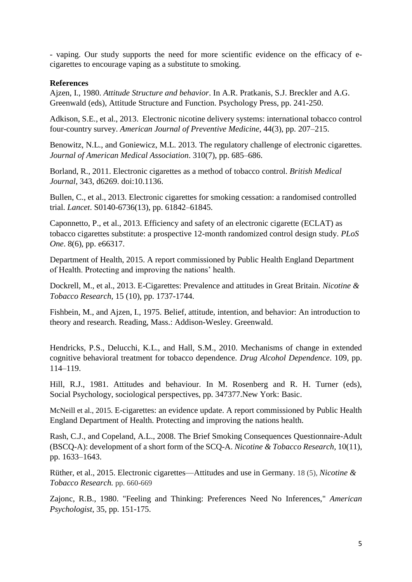- vaping. Our study supports the need for more scientific evidence on the efficacy of ecigarettes to encourage vaping as a substitute to smoking.

## **References**

Ajzen, I., 1980. *Attitude Structure and behavior*. In A.R. Pratkanis, S.J. Breckler and A.G. Greenwald (eds), Attitude Structure and Function. Psychology Press, pp. 241-250.

Adkison, S.E., et al., 2013. Electronic nicotine delivery systems: international tobacco control four-country survey. *American Journal of Preventive Medicine*, 44(3), pp. 207–215.

Benowitz, N.L., and Goniewicz, M.L. 2013. The regulatory challenge of electronic cigarettes. *Journal of American Medical Association*. 310(7), pp. 685–686.

Borland, R., 2011. Electronic cigarettes as a method of tobacco control. *British Medical Journal,* 343, d6269. doi:10.1136.

Bullen, C., et al., 2013. Electronic cigarettes for smoking cessation: a randomised controlled trial. *Lancet*. S0140-6736(13), pp. 61842–61845.

Caponnetto, P., et al., 2013. Efficiency and safety of an electronic cigarette (ECLAT) as tobacco cigarettes substitute: a prospective 12-month randomized control design study. *PLoS One*. 8(6), pp. e66317.

Department of Health, 2015. A report commissioned by Public Health England Department of Health. Protecting and improving the nations' health.

Dockrell, M., et al., 2013. E-Cigarettes: Prevalence and attitudes in Great Britain. *Nicotine & Tobacco Research*, 15 (10), pp. 1737-1744.

Fishbein, M., and Ajzen, I., 1975. Belief, attitude, intention, and behavior: An introduction to theory and research. Reading, Mass.: Addison-Wesley. Greenwald.

Hendricks, P.S., Delucchi, K.L., and Hall, S.M., 2010. Mechanisms of change in extended cognitive behavioral treatment for tobacco dependence. *Drug Alcohol Dependence*. 109, pp. 114–119.

Hill, R.J., 1981. Attitudes and behaviour. In M. Rosenberg and R. H. Turner (eds), Social Psychology, sociological perspectives, pp. 347377.New York: Basic.

McNeill et al., 2015. E-cigarettes: an evidence update. A report commissioned by Public Health England Department of Health. Protecting and improving the nations health.

Rash, C.J., and Copeland, A.L., 2008. The Brief Smoking Consequences Questionnaire-Adult (BSCQ-A): development of a short form of the SCQ-A. *Nicotine & Tobacco Research,* 10(11), pp. 1633–1643.

Rüther, et al., 2015. Electronic cigarettes—Attitudes and use in Germany. 18 (5), *Nicotine & Tobacco Research.* pp. 660-669

Zajonc, R.B., 1980. "Feeling and Thinking: Preferences Need No Inferences," *American Psychologist*, 35, pp. 151-175.